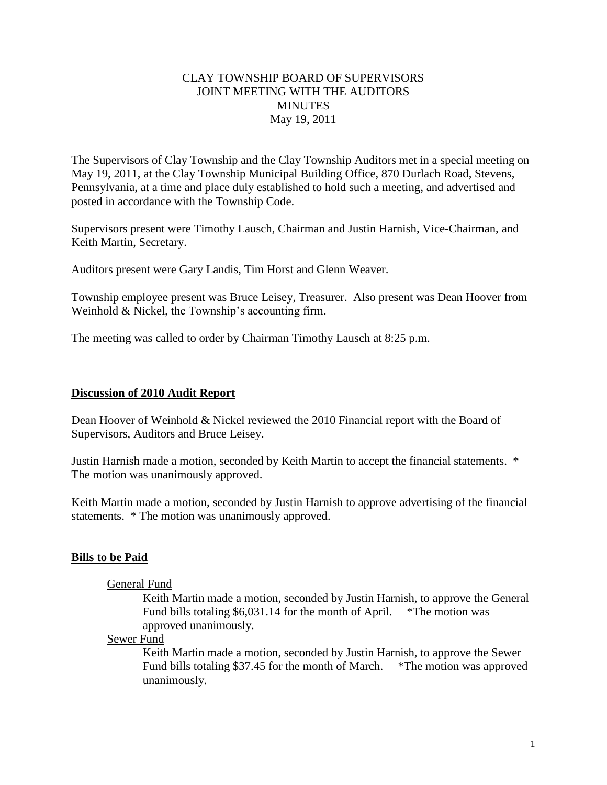## CLAY TOWNSHIP BOARD OF SUPERVISORS JOINT MEETING WITH THE AUDITORS **MINUTES** May 19, 2011

The Supervisors of Clay Township and the Clay Township Auditors met in a special meeting on May 19, 2011, at the Clay Township Municipal Building Office, 870 Durlach Road, Stevens, Pennsylvania, at a time and place duly established to hold such a meeting, and advertised and posted in accordance with the Township Code.

Supervisors present were Timothy Lausch, Chairman and Justin Harnish, Vice-Chairman, and Keith Martin, Secretary.

Auditors present were Gary Landis, Tim Horst and Glenn Weaver.

Township employee present was Bruce Leisey, Treasurer. Also present was Dean Hoover from Weinhold & Nickel, the Township's accounting firm.

The meeting was called to order by Chairman Timothy Lausch at 8:25 p.m.

### **Discussion of 2010 Audit Report**

Dean Hoover of Weinhold & Nickel reviewed the 2010 Financial report with the Board of Supervisors, Auditors and Bruce Leisey.

Justin Harnish made a motion, seconded by Keith Martin to accept the financial statements. \* The motion was unanimously approved.

Keith Martin made a motion, seconded by Justin Harnish to approve advertising of the financial statements. \* The motion was unanimously approved.

### **Bills to be Paid**

### General Fund

Keith Martin made a motion, seconded by Justin Harnish, to approve the General Fund bills totaling \$6,031.14 for the month of April. \*The motion was approved unanimously.

Sewer Fund

Keith Martin made a motion, seconded by Justin Harnish, to approve the Sewer Fund bills totaling \$37.45 for the month of March. \*The motion was approved unanimously.